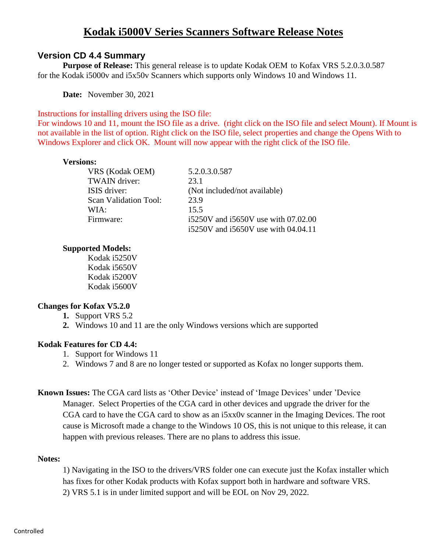# **Version CD 4.4 Summary**

**Purpose of Release:** This general release is to update Kodak OEM to Kofax VRS 5.2.0.3.0.587 for the Kodak i5000v and i5x50v Scanners which supports only Windows 10 and Windows 11.

**Date:** November 30, 2021

Instructions for installing drivers using the ISO file:

For windows 10 and 11, mount the ISO file as a drive. (right click on the ISO file and select Mount). If Mount is not available in the list of option. Right click on the ISO file, select properties and change the Opens With to Windows Explorer and click OK. Mount will now appear with the right click of the ISO file.

### **Versions:**

VRS (Kodak OEM) 5.2.0.3.0.587 TWAIN driver: 23.1 ISIS driver: (Not included/not available) Scan Validation Tool: 23.9 WIA: 15.5

Firmware: i5250V and i5650V use with 07.02.00 i5250V and i5650V use with 04.04.11

## **Supported Models:**

Kodak i5250V Kodak i5650V Kodak i5200V Kodak i5600V

## **Changes for Kofax V5.2.0**

- **1.** Support VRS 5.2
- **2.** Windows 10 and 11 are the only Windows versions which are supported

## **Kodak Features for CD 4.4:**

- 1. Support for Windows 11
- 2. Windows 7 and 8 are no longer tested or supported as Kofax no longer supports them.

**Known Issues:** The CGA card lists as 'Other Device' instead of 'Image Devices' under 'Device Manager. Select Properties of the CGA card in other devices and upgrade the driver for the CGA card to have the CGA card to show as an i5xx0v scanner in the Imaging Devices. The root cause is Microsoft made a change to the Windows 10 OS, this is not unique to this release, it can happen with previous releases. There are no plans to address this issue.

#### **Notes:**

1) Navigating in the ISO to the drivers/VRS folder one can execute just the Kofax installer which has fixes for other Kodak products with Kofax support both in hardware and software VRS. 2) VRS 5.1 is in under limited support and will be EOL on Nov 29, 2022.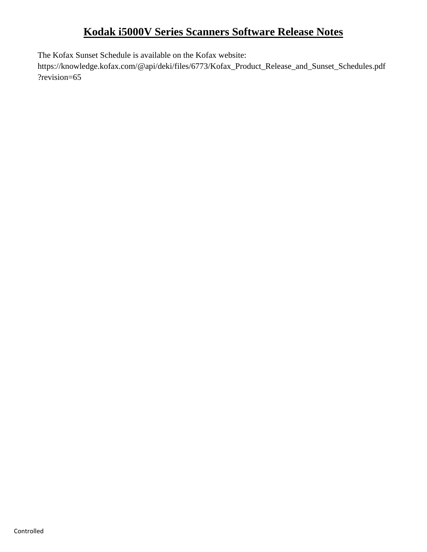The Kofax Sunset Schedule is available on the Kofax website:

https://knowledge.kofax.com/@api/deki/files/6773/Kofax\_Product\_Release\_and\_Sunset\_Schedules.pdf ?revision=65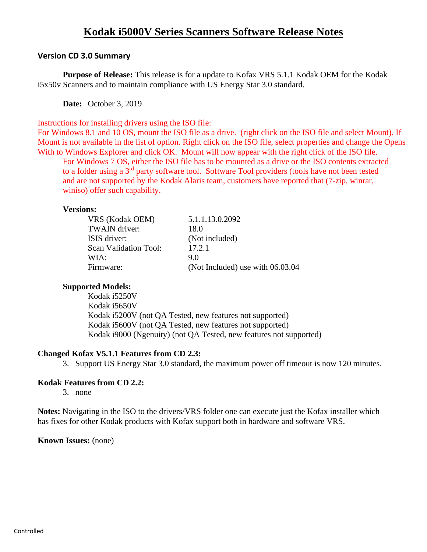## **Version CD 3.0 Summary**

**Purpose of Release:** This release is for a update to Kofax VRS 5.1.1 Kodak OEM for the Kodak i5x50v Scanners and to maintain compliance with US Energy Star 3.0 standard.

**Date:** October 3, 2019

Instructions for installing drivers using the ISO file:

For Windows 8.1 and 10 OS, mount the ISO file as a drive. (right click on the ISO file and select Mount). If Mount is not available in the list of option. Right click on the ISO file, select properties and change the Opens With to Windows Explorer and click OK. Mount will now appear with the right click of the ISO file.

For Windows 7 OS, either the ISO file has to be mounted as a drive or the ISO contents extracted to a folder using a 3<sup>rd</sup> party software tool. Software Tool providers (tools have not been tested and are not supported by the Kodak Alaris team, customers have reported that (7-zip, winrar, winiso) offer such capability.

### **Versions:**

| VRS (Kodak OEM)              | 5.1.1.13.0.2092                    |
|------------------------------|------------------------------------|
| TWAIN driver:                | 18.0                               |
| ISIS driver:                 | (Not included)                     |
| <b>Scan Validation Tool:</b> | 17.2.1                             |
| WIA:                         | 90                                 |
| Firmware:                    | (Not Included) use with $06.03.04$ |

## **Supported Models:**

Kodak i5250V Kodak i5650V Kodak i5200V (not QA Tested, new features not supported) Kodak i5600V (not QA Tested, new features not supported) Kodak i9000 (Ngenuity) (not QA Tested, new features not supported)

## **Changed Kofax V5.1.1 Features from CD 2.3:**

3. Support US Energy Star 3.0 standard, the maximum power off timeout is now 120 minutes.

## **Kodak Features from CD 2.2:**

3. none

**Notes:** Navigating in the ISO to the drivers/VRS folder one can execute just the Kofax installer which has fixes for other Kodak products with Kofax support both in hardware and software VRS.

**Known Issues:** (none)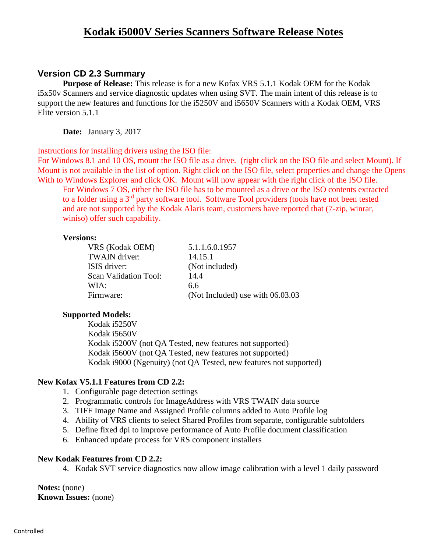# **Version CD 2.3 Summary**

**Purpose of Release:** This release is for a new Kofax VRS 5.1.1 Kodak OEM for the Kodak i5x50v Scanners and service diagnostic updates when using SVT. The main intent of this release is to support the new features and functions for the i5250V and i5650V Scanners with a Kodak OEM, VRS Elite version 5.1.1

**Date:** January 3, 2017

Instructions for installing drivers using the ISO file:

For Windows 8.1 and 10 OS, mount the ISO file as a drive. (right click on the ISO file and select Mount). If Mount is not available in the list of option. Right click on the ISO file, select properties and change the Opens With to Windows Explorer and click OK. Mount will now appear with the right click of the ISO file.

For Windows 7 OS, either the ISO file has to be mounted as a drive or the ISO contents extracted to a folder using a 3<sup>rd</sup> party software tool. Software Tool providers (tools have not been tested and are not supported by the Kodak Alaris team, customers have reported that (7-zip, winrar, winiso) offer such capability.

#### **Versions:**

VRS (Kodak OEM) 5.1.1.6.0.1957 TWAIN driver: 14.15.1 ISIS driver: (Not included) Scan Validation Tool: 14.4 WIA: 6.6 Firmware: (Not Included) use with 06.03.03

### **Supported Models:**

Kodak i5250V Kodak i5650V Kodak i5200V (not QA Tested, new features not supported) Kodak i5600V (not QA Tested, new features not supported) Kodak i9000 (Ngenuity) (not QA Tested, new features not supported)

## **New Kofax V5.1.1 Features from CD 2.2:**

- 1. Configurable page detection settings
- 2. Programmatic controls for ImageAddress with VRS TWAIN data source
- 3. TIFF Image Name and Assigned Profile columns added to Auto Profile log
- 4. Ability of VRS clients to select Shared Profiles from separate, configurable subfolders
- 5. Define fixed dpi to improve performance of Auto Profile document classification
- 6. Enhanced update process for VRS component installers

#### **New Kodak Features from CD 2.2:**

4. Kodak SVT service diagnostics now allow image calibration with a level 1 daily password

**Notes:** (none) **Known Issues:** (none)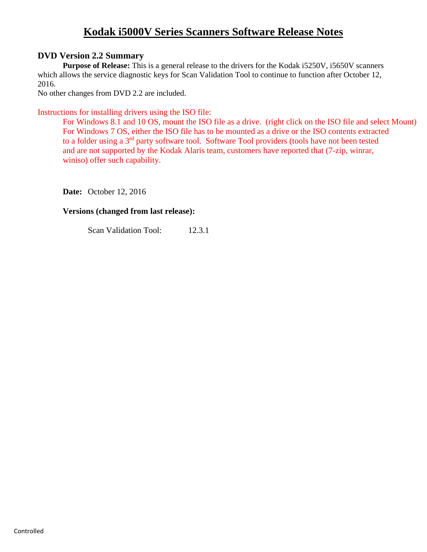# **DVD Version 2.2 Summary**

**Purpose of Release:** This is a general release to the drivers for the Kodak i5250V, i5650V scanners which allows the service diagnostic keys for Scan Validation Tool to continue to function after October 12, 2016.

No other changes from DVD 2.2 are included.

Instructions for installing drivers using the ISO file:

For Windows 8.1 and 10 OS, mount the ISO file as a drive. (right click on the ISO file and select Mount) For Windows 7 OS, either the ISO file has to be mounted as a drive or the ISO contents extracted to a folder using a 3<sup>rd</sup> party software tool. Software Tool providers (tools have not been tested and are not supported by the Kodak Alaris team, customers have reported that (7-zip, winrar, winiso) offer such capability.

**Date:** October 12, 2016

## **Versions (changed from last release):**

Scan Validation Tool: 12.3.1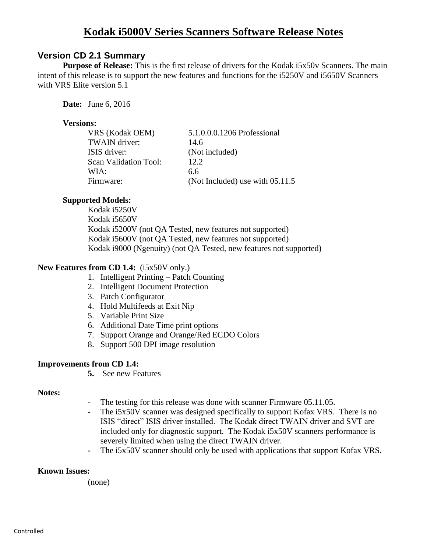# **Version CD 2.1 Summary**

**Purpose of Release:** This is the first release of drivers for the Kodak i5x50v Scanners. The main intent of this release is to support the new features and functions for the i5250V and i5650V Scanners with VRS Elite version 5.1

**Date:** June 6, 2016

## **Versions:**

| VRS (Kodak OEM)       | 5.1.0.0.0.1206 Professional       |
|-----------------------|-----------------------------------|
| <b>TWAIN</b> driver:  | 14.6                              |
| ISIS driver:          | (Not included)                    |
| Scan Validation Tool: | 12.2                              |
| WIA:                  | 6.6                               |
| Firmware:             | (Not Included) use with $05.11.5$ |

## **Supported Models:**

Kodak i5250V Kodak i5650V Kodak i5200V (not QA Tested, new features not supported) Kodak i5600V (not QA Tested, new features not supported) Kodak i9000 (Ngenuity) (not QA Tested, new features not supported)

### **New Features from CD 1.4:** (i5x50V only.)

- 1. Intelligent Printing Patch Counting
- 2. Intelligent Document Protection
- 3. Patch Configurator
- 4. Hold Multifeeds at Exit Nip
- 5. Variable Print Size
- 6. Additional Date Time print options
- 7. Support Orange and Orange/Red ECDO Colors
- 8. Support 500 DPI image resolution

## **Improvements from CD 1.4:**

**5.** See new Features

#### **Notes:**

- **-** The testing for this release was done with scanner Firmware 05.11.05.
- **-** The i5x50V scanner was designed specifically to support Kofax VRS. There is no ISIS "direct" ISIS driver installed. The Kodak direct TWAIN driver and SVT are included only for diagnostic support. The Kodak i5x50V scanners performance is severely limited when using the direct TWAIN driver.
- **-** The i5x50V scanner should only be used with applications that support Kofax VRS.

#### **Known Issues:**

(none)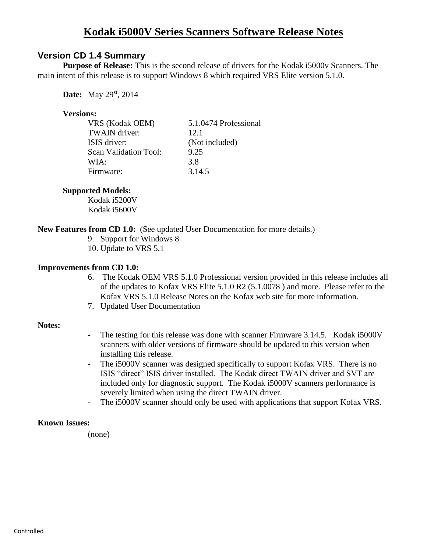# **Version CD 1.4 Summary**

**Purpose of Release:** This is the second release of drivers for the Kodak i5000v Scanners. The main intent of this release is to support Windows 8 which required VRS Elite version 5.1.0.

**Date:** May 29<sup>st</sup>, 2014

### **Versions:**

| VRS (Kodak OEM)       | 5.1.0474 Professional |
|-----------------------|-----------------------|
| <b>TWAIN</b> driver:  | 12.1                  |
| ISIS driver:          | (Not included)        |
| Scan Validation Tool: | 9.25                  |
| WIA:                  | 3.8                   |
| Firmware:             | 3.14.5                |

### **Supported Models:**

Kodak i5200V Kodak i5600V

## **New Features from CD 1.0:** (See updated User Documentation for more details.)

- 9. Support for Windows 8
- 10. Update to VRS 5.1

### **Improvements from CD 1.0:**

- 6. The Kodak OEM VRS 5.1.0 Professional version provided in this release includes all of the updates to Kofax VRS Elite 5.1.0 R2 (5.1.0078 ) and more. Please refer to the Kofax VRS 5.1.0 Release Notes on the Kofax web site for more information.
- 7. Updated User Documentation

#### **Notes:**

- **-** The testing for this release was done with scanner Firmware 3.14.5. Kodak i5000V scanners with older versions of firmware should be updated to this version when installing this release.
- **-** The i5000V scanner was designed specifically to support Kofax VRS. There is no ISIS "direct" ISIS driver installed. The Kodak direct TWAIN driver and SVT are included only for diagnostic support. The Kodak i5000V scanners performance is severely limited when using the direct TWAIN driver.
- **-** The i5000V scanner should only be used with applications that support Kofax VRS.

## **Known Issues:**

(none)